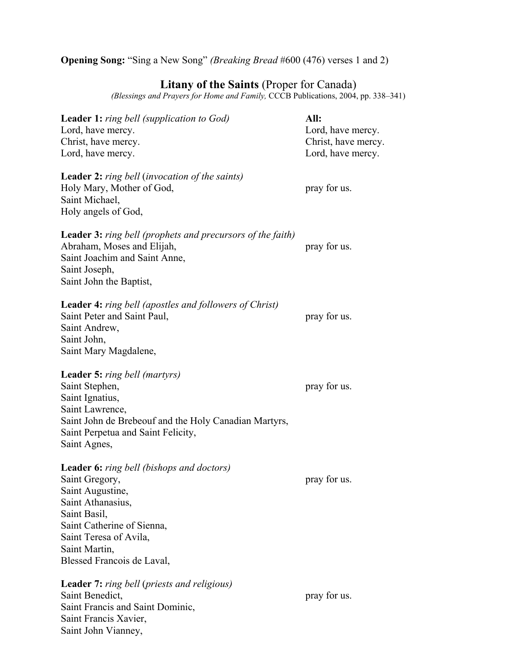**Opening Song:** "Sing a New Song" *(Breaking Bread* #600 (476) verses 1 and 2)

# **Litany of the Saints** (Proper for Canada)

*(Blessings and Prayers for Home and Family,* CCCB Publications, 2004, pp. 338–341)

| <b>Leader 1:</b> ring bell (supplication to God)<br>Lord, have mercy.<br>Christ, have mercy.<br>Lord, have mercy.                                                                                                           | All:<br>Lord, have mercy.<br>Christ, have mercy.<br>Lord, have mercy. |
|-----------------------------------------------------------------------------------------------------------------------------------------------------------------------------------------------------------------------------|-----------------------------------------------------------------------|
| <b>Leader 2:</b> ring bell (invocation of the saints)<br>Holy Mary, Mother of God,<br>Saint Michael,<br>Holy angels of God,                                                                                                 | pray for us.                                                          |
| <b>Leader 3:</b> ring bell (prophets and precursors of the faith)<br>Abraham, Moses and Elijah,<br>Saint Joachim and Saint Anne,<br>Saint Joseph,<br>Saint John the Baptist,                                                | pray for us.                                                          |
| <b>Leader 4:</b> ring bell (apostles and followers of Christ)<br>Saint Peter and Saint Paul,<br>Saint Andrew,<br>Saint John,<br>Saint Mary Magdalene,                                                                       | pray for us.                                                          |
| <b>Leader 5:</b> ring bell (martyrs)<br>Saint Stephen,<br>Saint Ignatius,<br>Saint Lawrence,<br>Saint John de Brebeouf and the Holy Canadian Martyrs,<br>Saint Perpetua and Saint Felicity,<br>Saint Agnes,                 | pray for us.                                                          |
| Leader 6: ring bell (bishops and doctors)<br>Saint Gregory,<br>Saint Augustine,<br>Saint Athanasius,<br>Saint Basil,<br>Saint Catherine of Sienna,<br>Saint Teresa of Avila,<br>Saint Martin,<br>Blessed Francois de Laval, | pray for us.                                                          |
| Leader 7: ring bell (priests and religious)<br>Saint Benedict,<br>Saint Francis and Saint Dominic,<br>Saint Francis Xavier,<br>Saint John Vianney,                                                                          | pray for us.                                                          |